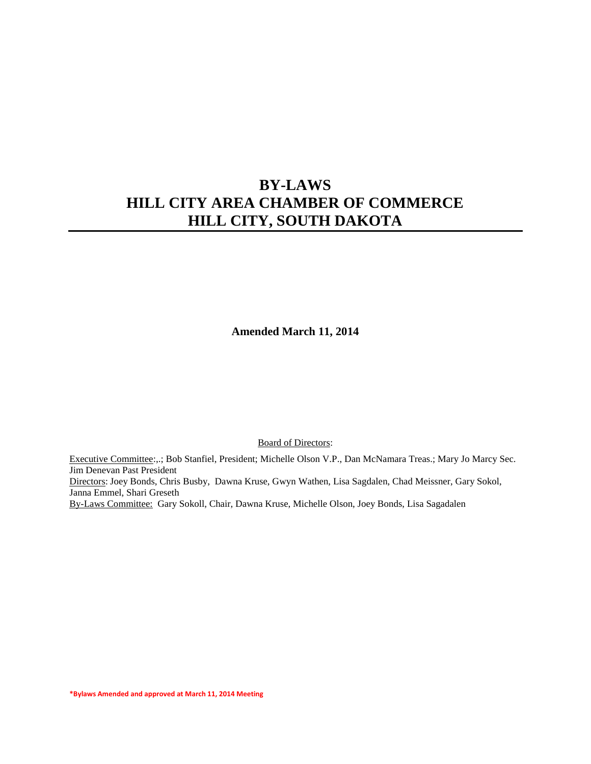**Amended March 11, 2014**

Board of Directors:

Executive Committee:,.; Bob Stanfiel, President; Michelle Olson V.P., Dan McNamara Treas.; Mary Jo Marcy Sec. Jim Denevan Past President Directors: Joey Bonds, Chris Busby, Dawna Kruse, Gwyn Wathen, Lisa Sagdalen, Chad Meissner, Gary Sokol, Janna Emmel, Shari Greseth By-Laws Committee: Gary Sokoll, Chair, Dawna Kruse, Michelle Olson, Joey Bonds, Lisa Sagadalen

**\*Bylaws Amended and approved at March 11, 2014 Meeting**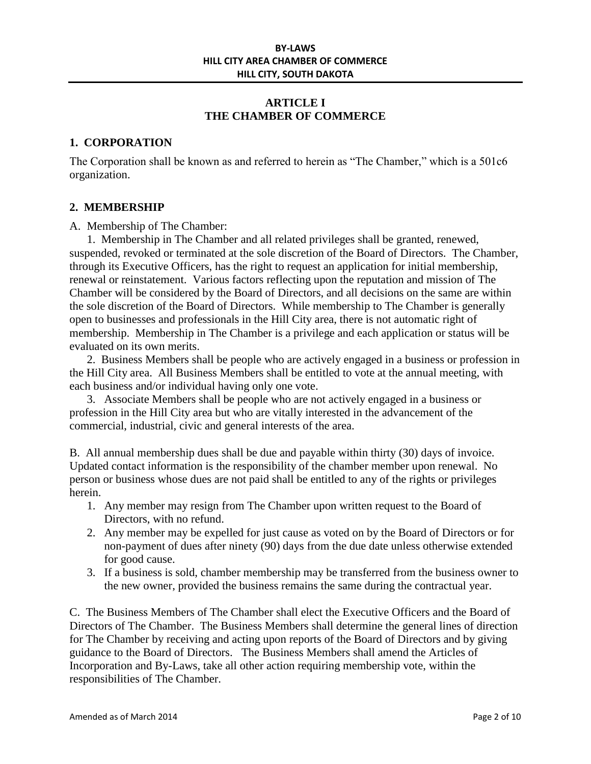# **ARTICLE I THE CHAMBER OF COMMERCE**

## **1. CORPORATION**

The Corporation shall be known as and referred to herein as "The Chamber," which is a 501c6 organization.

#### **2. MEMBERSHIP**

#### A. Membership of The Chamber:

1. Membership in The Chamber and all related privileges shall be granted, renewed, suspended, revoked or terminated at the sole discretion of the Board of Directors. The Chamber, through its Executive Officers, has the right to request an application for initial membership, renewal or reinstatement. Various factors reflecting upon the reputation and mission of The Chamber will be considered by the Board of Directors, and all decisions on the same are within the sole discretion of the Board of Directors. While membership to The Chamber is generally open to businesses and professionals in the Hill City area, there is not automatic right of membership. Membership in The Chamber is a privilege and each application or status will be evaluated on its own merits.

2. Business Members shall be people who are actively engaged in a business or profession in the Hill City area. All Business Members shall be entitled to vote at the annual meeting, with each business and/or individual having only one vote.

3. Associate Members shall be people who are not actively engaged in a business or profession in the Hill City area but who are vitally interested in the advancement of the commercial, industrial, civic and general interests of the area.

B. All annual membership dues shall be due and payable within thirty (30) days of invoice. Updated contact information is the responsibility of the chamber member upon renewal. No person or business whose dues are not paid shall be entitled to any of the rights or privileges herein.

- 1. Any member may resign from The Chamber upon written request to the Board of Directors, with no refund.
- 2. Any member may be expelled for just cause as voted on by the Board of Directors or for non-payment of dues after ninety (90) days from the due date unless otherwise extended for good cause.
- 3. If a business is sold, chamber membership may be transferred from the business owner to the new owner, provided the business remains the same during the contractual year.

C. The Business Members of The Chamber shall elect the Executive Officers and the Board of Directors of The Chamber. The Business Members shall determine the general lines of direction for The Chamber by receiving and acting upon reports of the Board of Directors and by giving guidance to the Board of Directors. The Business Members shall amend the Articles of Incorporation and By-Laws, take all other action requiring membership vote, within the responsibilities of The Chamber.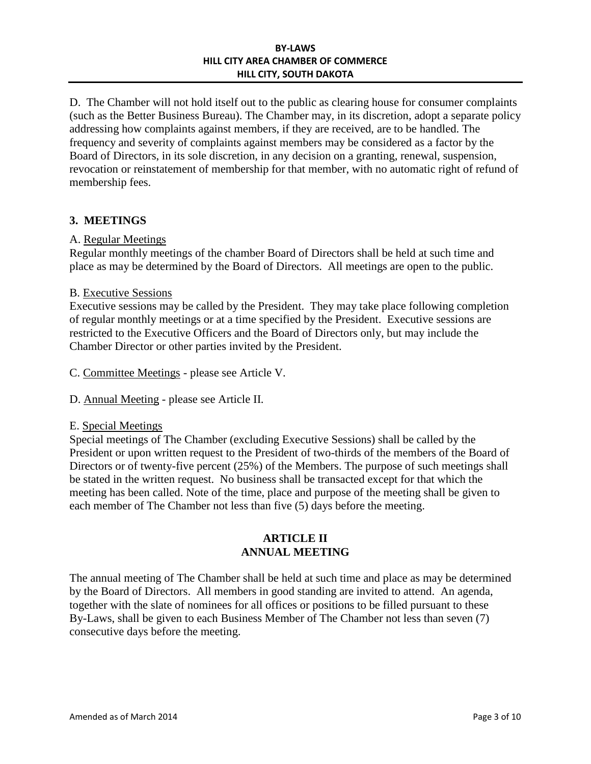D. The Chamber will not hold itself out to the public as clearing house for consumer complaints (such as the Better Business Bureau). The Chamber may, in its discretion, adopt a separate policy addressing how complaints against members, if they are received, are to be handled. The frequency and severity of complaints against members may be considered as a factor by the Board of Directors, in its sole discretion, in any decision on a granting, renewal, suspension, revocation or reinstatement of membership for that member, with no automatic right of refund of membership fees.

# **3. MEETINGS**

#### A. Regular Meetings

Regular monthly meetings of the chamber Board of Directors shall be held at such time and place as may be determined by the Board of Directors. All meetings are open to the public.

#### B. Executive Sessions

Executive sessions may be called by the President. They may take place following completion of regular monthly meetings or at a time specified by the President. Executive sessions are restricted to the Executive Officers and the Board of Directors only, but may include the Chamber Director or other parties invited by the President.

C. Committee Meetings - please see Article V.

D. Annual Meeting - please see Article II.

#### E. Special Meetings

Special meetings of The Chamber (excluding Executive Sessions) shall be called by the President or upon written request to the President of two-thirds of the members of the Board of Directors or of twenty-five percent (25%) of the Members. The purpose of such meetings shall be stated in the written request. No business shall be transacted except for that which the meeting has been called. Note of the time, place and purpose of the meeting shall be given to each member of The Chamber not less than five (5) days before the meeting.

## **ARTICLE II ANNUAL MEETING**

The annual meeting of The Chamber shall be held at such time and place as may be determined by the Board of Directors. All members in good standing are invited to attend. An agenda, together with the slate of nominees for all offices or positions to be filled pursuant to these By-Laws, shall be given to each Business Member of The Chamber not less than seven (7) consecutive days before the meeting.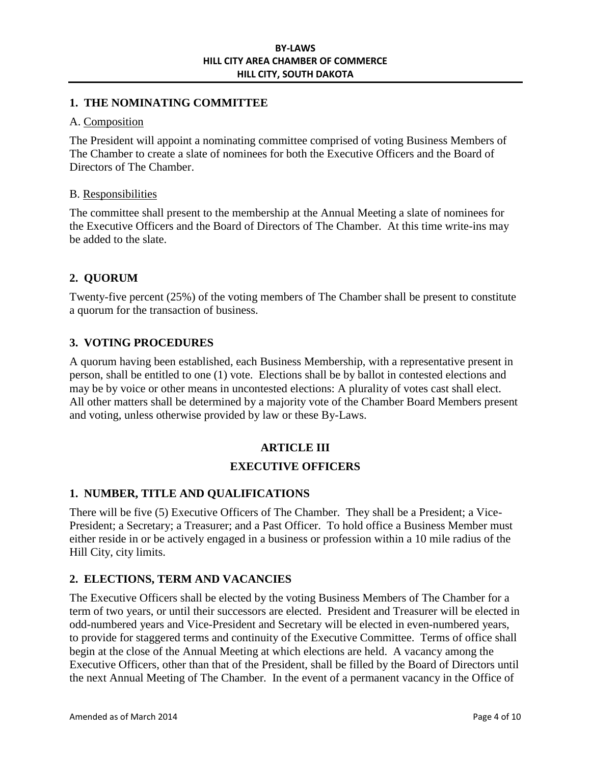## **1. THE NOMINATING COMMITTEE**

#### A. Composition

The President will appoint a nominating committee comprised of voting Business Members of The Chamber to create a slate of nominees for both the Executive Officers and the Board of Directors of The Chamber.

#### B. Responsibilities

The committee shall present to the membership at the Annual Meeting a slate of nominees for the Executive Officers and the Board of Directors of The Chamber. At this time write-ins may be added to the slate.

## **2. QUORUM**

Twenty-five percent (25%) of the voting members of The Chamber shall be present to constitute a quorum for the transaction of business.

## **3. VOTING PROCEDURES**

A quorum having been established, each Business Membership, with a representative present in person, shall be entitled to one (1) vote. Elections shall be by ballot in contested elections and may be by voice or other means in uncontested elections: A plurality of votes cast shall elect. All other matters shall be determined by a majority vote of the Chamber Board Members present and voting, unless otherwise provided by law or these By-Laws.

# **ARTICLE III**

## **EXECUTIVE OFFICERS**

## **1. NUMBER, TITLE AND QUALIFICATIONS**

There will be five (5) Executive Officers of The Chamber. They shall be a President; a Vice-President; a Secretary; a Treasurer; and a Past Officer. To hold office a Business Member must either reside in or be actively engaged in a business or profession within a 10 mile radius of the Hill City, city limits.

## **2. ELECTIONS, TERM AND VACANCIES**

The Executive Officers shall be elected by the voting Business Members of The Chamber for a term of two years, or until their successors are elected. President and Treasurer will be elected in odd-numbered years and Vice-President and Secretary will be elected in even-numbered years, to provide for staggered terms and continuity of the Executive Committee. Terms of office shall begin at the close of the Annual Meeting at which elections are held. A vacancy among the Executive Officers, other than that of the President, shall be filled by the Board of Directors until the next Annual Meeting of The Chamber. In the event of a permanent vacancy in the Office of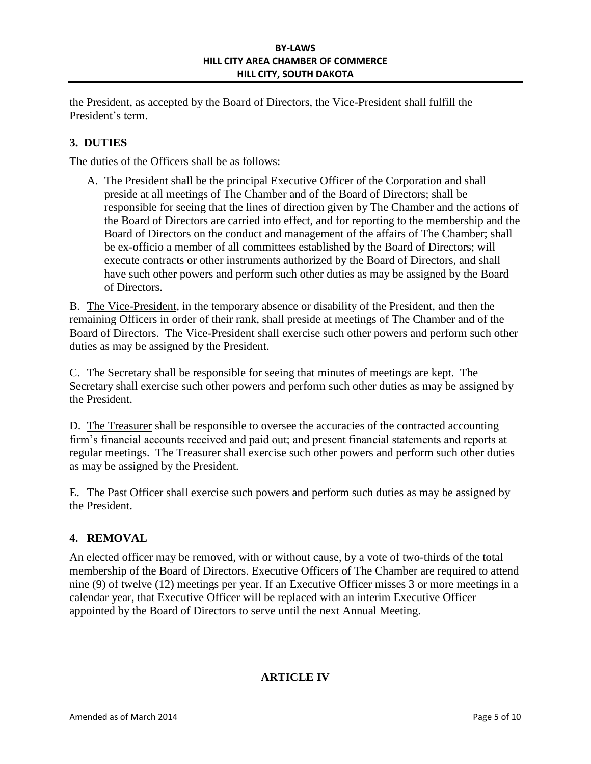the President, as accepted by the Board of Directors, the Vice-President shall fulfill the President's term.

# **3. DUTIES**

The duties of the Officers shall be as follows:

A. The President shall be the principal Executive Officer of the Corporation and shall preside at all meetings of The Chamber and of the Board of Directors; shall be responsible for seeing that the lines of direction given by The Chamber and the actions of the Board of Directors are carried into effect, and for reporting to the membership and the Board of Directors on the conduct and management of the affairs of The Chamber; shall be ex-officio a member of all committees established by the Board of Directors; will execute contracts or other instruments authorized by the Board of Directors, and shall have such other powers and perform such other duties as may be assigned by the Board of Directors.

B. The Vice-President, in the temporary absence or disability of the President, and then the remaining Officers in order of their rank, shall preside at meetings of The Chamber and of the Board of Directors. The Vice-President shall exercise such other powers and perform such other duties as may be assigned by the President.

C. The Secretary shall be responsible for seeing that minutes of meetings are kept. The Secretary shall exercise such other powers and perform such other duties as may be assigned by the President.

D. The Treasurer shall be responsible to oversee the accuracies of the contracted accounting firm's financial accounts received and paid out; and present financial statements and reports at regular meetings. The Treasurer shall exercise such other powers and perform such other duties as may be assigned by the President.

E. The Past Officer shall exercise such powers and perform such duties as may be assigned by the President.

# **4. REMOVAL**

An elected officer may be removed, with or without cause, by a vote of two-thirds of the total membership of the Board of Directors. Executive Officers of The Chamber are required to attend nine (9) of twelve (12) meetings per year. If an Executive Officer misses 3 or more meetings in a calendar year, that Executive Officer will be replaced with an interim Executive Officer appointed by the Board of Directors to serve until the next Annual Meeting.

# **ARTICLE IV**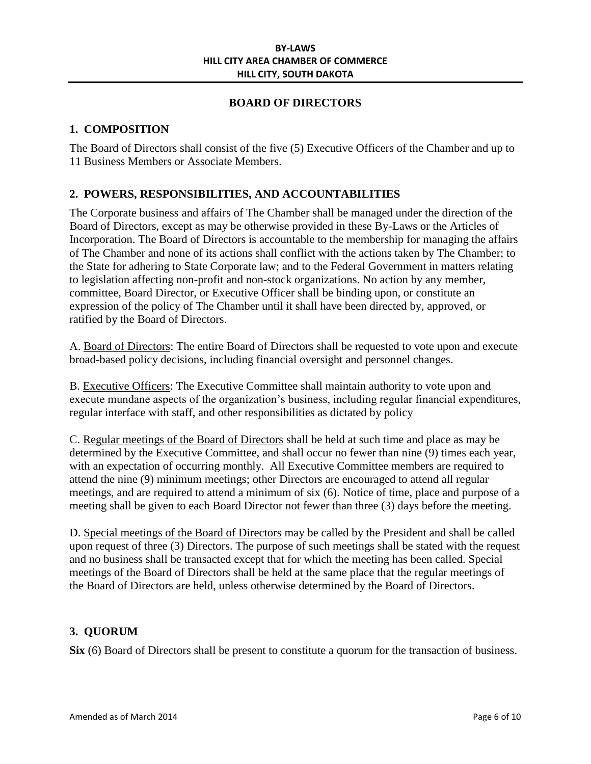## **BOARD OF DIRECTORS**

# **1. COMPOSITION**

The Board of Directors shall consist of the five (5) Executive Officers of the Chamber and up to 11 Business Members or Associate Members.

# **2. POWERS, RESPONSIBILITIES, AND ACCOUNTABILITIES**

The Corporate business and affairs of The Chamber shall be managed under the direction of the Board of Directors, except as may be otherwise provided in these By-Laws or the Articles of Incorporation. The Board of Directors is accountable to the membership for managing the affairs of The Chamber and none of its actions shall conflict with the actions taken by The Chamber; to the State for adhering to State Corporate law; and to the Federal Government in matters relating to legislation affecting non-profit and non-stock organizations. No action by any member, committee, Board Director, or Executive Officer shall be binding upon, or constitute an expression of the policy of The Chamber until it shall have been directed by, approved, or ratified by the Board of Directors.

A. Board of Directors: The entire Board of Directors shall be requested to vote upon and execute broad-based policy decisions, including financial oversight and personnel changes.

B. Executive Officers: The Executive Committee shall maintain authority to vote upon and execute mundane aspects of the organization's business, including regular financial expenditures, regular interface with staff, and other responsibilities as dictated by policy

C. Regular meetings of the Board of Directors shall be held at such time and place as may be determined by the Executive Committee, and shall occur no fewer than nine (9) times each year, with an expectation of occurring monthly. All Executive Committee members are required to attend the nine (9) minimum meetings; other Directors are encouraged to attend all regular meetings, and are required to attend a minimum of six (6). Notice of time, place and purpose of a meeting shall be given to each Board Director not fewer than three (3) days before the meeting.

D. Special meetings of the Board of Directors may be called by the President and shall be called upon request of three (3) Directors. The purpose of such meetings shall be stated with the request and no business shall be transacted except that for which the meeting has been called. Special meetings of the Board of Directors shall be held at the same place that the regular meetings of the Board of Directors are held, unless otherwise determined by the Board of Directors.

## **3. QUORUM**

**Six** (6) Board of Directors shall be present to constitute a quorum for the transaction of business.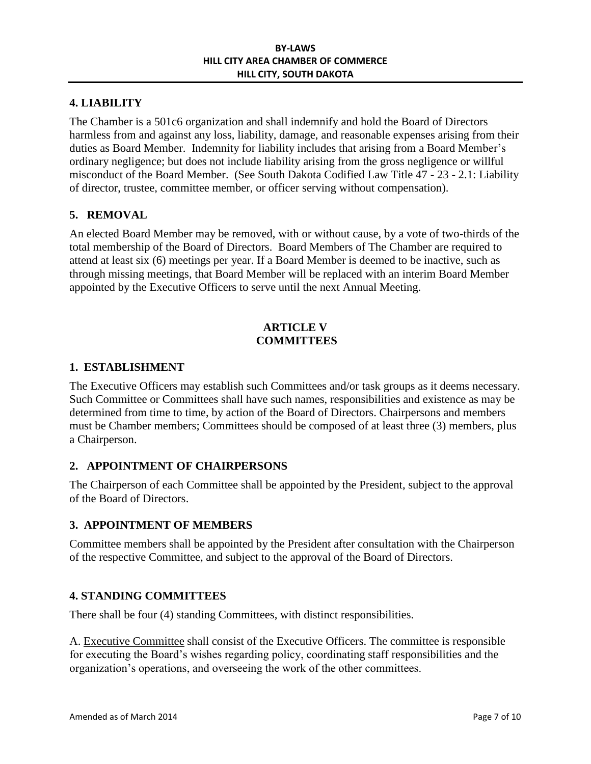# **4. LIABILITY**

The Chamber is a 501c6 organization and shall indemnify and hold the Board of Directors harmless from and against any loss, liability, damage, and reasonable expenses arising from their duties as Board Member. Indemnity for liability includes that arising from a Board Member's ordinary negligence; but does not include liability arising from the gross negligence or willful misconduct of the Board Member. (See South Dakota Codified Law Title 47 - 23 - 2.1: Liability of director, trustee, committee member, or officer serving without compensation).

## **5. REMOVAL**

An elected Board Member may be removed, with or without cause, by a vote of two-thirds of the total membership of the Board of Directors. Board Members of The Chamber are required to attend at least six (6) meetings per year. If a Board Member is deemed to be inactive, such as through missing meetings, that Board Member will be replaced with an interim Board Member appointed by the Executive Officers to serve until the next Annual Meeting.

## **ARTICLE V COMMITTEES**

#### **1. ESTABLISHMENT**

The Executive Officers may establish such Committees and/or task groups as it deems necessary. Such Committee or Committees shall have such names, responsibilities and existence as may be determined from time to time, by action of the Board of Directors. Chairpersons and members must be Chamber members; Committees should be composed of at least three (3) members, plus a Chairperson.

## **2. APPOINTMENT OF CHAIRPERSONS**

The Chairperson of each Committee shall be appointed by the President, subject to the approval of the Board of Directors.

## **3. APPOINTMENT OF MEMBERS**

Committee members shall be appointed by the President after consultation with the Chairperson of the respective Committee, and subject to the approval of the Board of Directors.

## **4. STANDING COMMITTEES**

There shall be four (4) standing Committees, with distinct responsibilities.

A. Executive Committee shall consist of the Executive Officers. The committee is responsible for executing the Board's wishes regarding policy, coordinating staff responsibilities and the organization's operations, and overseeing the work of the other committees.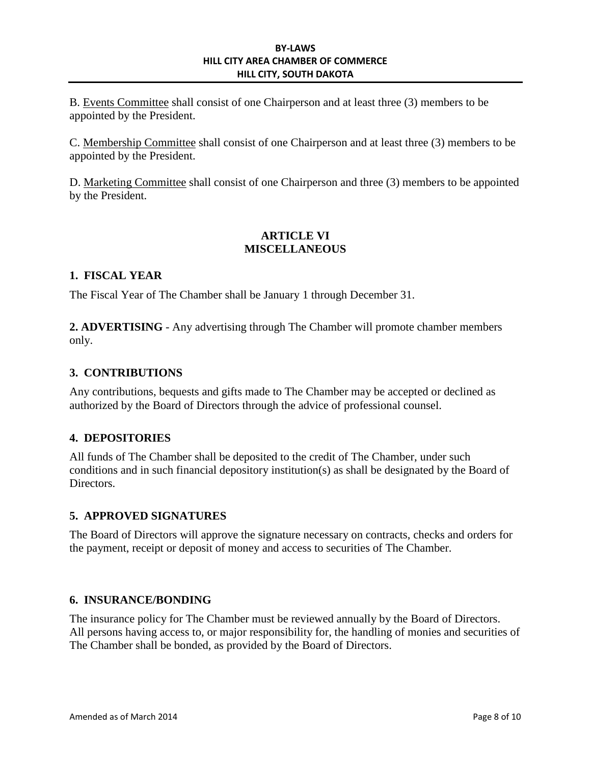B. Events Committee shall consist of one Chairperson and at least three (3) members to be appointed by the President.

C. Membership Committee shall consist of one Chairperson and at least three (3) members to be appointed by the President.

D. Marketing Committee shall consist of one Chairperson and three (3) members to be appointed by the President.

# **ARTICLE VI MISCELLANEOUS**

# **1. FISCAL YEAR**

The Fiscal Year of The Chamber shall be January 1 through December 31.

**2. ADVERTISING** - Any advertising through The Chamber will promote chamber members only.

# **3. CONTRIBUTIONS**

Any contributions, bequests and gifts made to The Chamber may be accepted or declined as authorized by the Board of Directors through the advice of professional counsel.

## **4. DEPOSITORIES**

All funds of The Chamber shall be deposited to the credit of The Chamber, under such conditions and in such financial depository institution(s) as shall be designated by the Board of Directors.

## **5. APPROVED SIGNATURES**

The Board of Directors will approve the signature necessary on contracts, checks and orders for the payment, receipt or deposit of money and access to securities of The Chamber.

## **6. INSURANCE/BONDING**

The insurance policy for The Chamber must be reviewed annually by the Board of Directors. All persons having access to, or major responsibility for, the handling of monies and securities of The Chamber shall be bonded, as provided by the Board of Directors.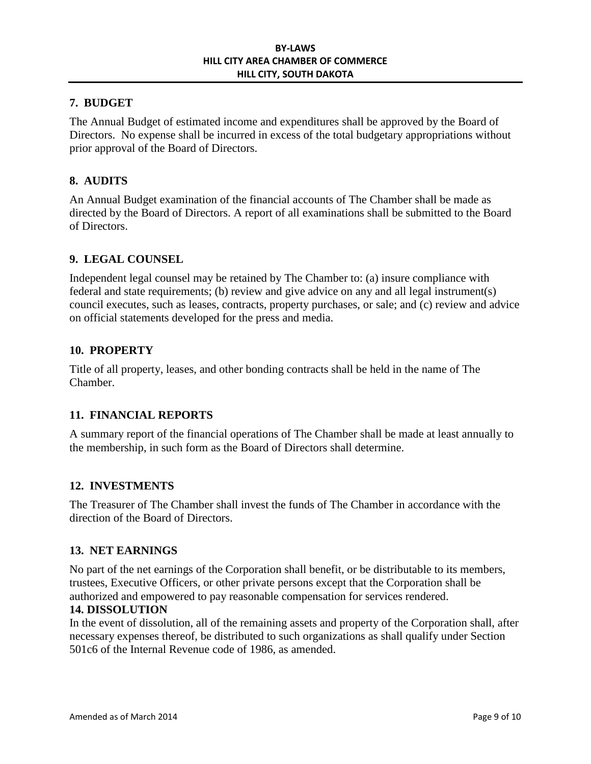## **7. BUDGET**

The Annual Budget of estimated income and expenditures shall be approved by the Board of Directors. No expense shall be incurred in excess of the total budgetary appropriations without prior approval of the Board of Directors.

# **8. AUDITS**

An Annual Budget examination of the financial accounts of The Chamber shall be made as directed by the Board of Directors. A report of all examinations shall be submitted to the Board of Directors.

## **9. LEGAL COUNSEL**

Independent legal counsel may be retained by The Chamber to: (a) insure compliance with federal and state requirements; (b) review and give advice on any and all legal instrument(s) council executes, such as leases, contracts, property purchases, or sale; and (c) review and advice on official statements developed for the press and media.

## **10. PROPERTY**

Title of all property, leases, and other bonding contracts shall be held in the name of The Chamber.

## **11. FINANCIAL REPORTS**

A summary report of the financial operations of The Chamber shall be made at least annually to the membership, in such form as the Board of Directors shall determine.

## **12. INVESTMENTS**

The Treasurer of The Chamber shall invest the funds of The Chamber in accordance with the direction of the Board of Directors.

#### **13. NET EARNINGS**

No part of the net earnings of the Corporation shall benefit, or be distributable to its members, trustees, Executive Officers, or other private persons except that the Corporation shall be authorized and empowered to pay reasonable compensation for services rendered.

#### **14. DISSOLUTION**

In the event of dissolution, all of the remaining assets and property of the Corporation shall, after necessary expenses thereof, be distributed to such organizations as shall qualify under Section 501c6 of the Internal Revenue code of 1986, as amended.